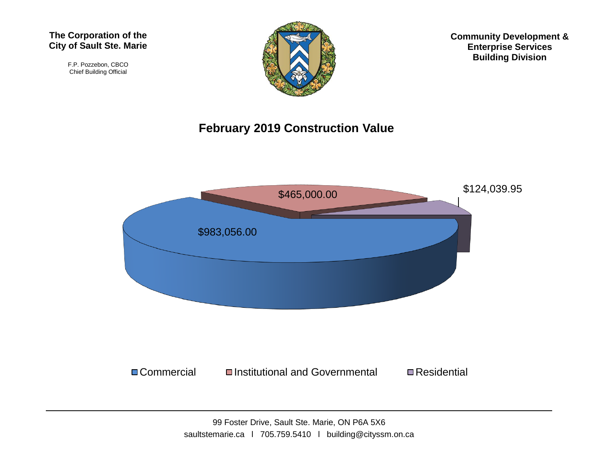#### **The Corporation of the City of Sault Ste. Marie**

F.P. Pozzebon, CBCO Chief Building Official



**Community Development & Enterprise Services Building Division**

#### **February 2019 Construction Value**



99 Foster Drive, Sault Ste. Marie, ON P6A 5X6 saultstemarie.ca | 705.759.5410 | building@cityssm.on.ca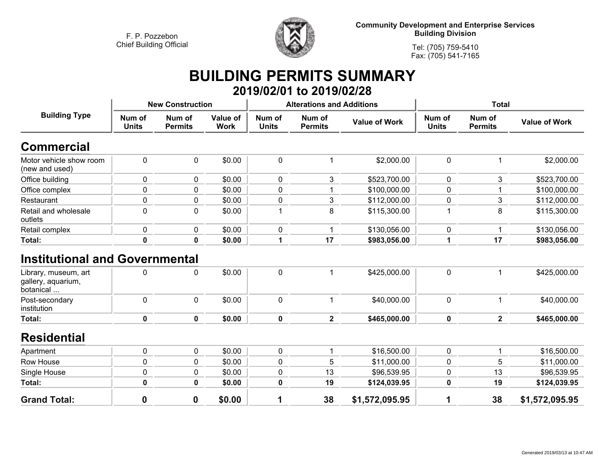

**Community Development and Enterprise Services Building Division**

**Tel: (705) 759-5410Fax: (705) 541-7165**

## **BUILDING PERMITS SUMMARY 2019/02/01 to 2019/02/28**

| <b>Building Type</b>                                                                             | <b>New Construction</b> |                          |                                |                        | <b>Alterations and Additions</b> |                      | <b>Total</b>           |                          |                      |
|--------------------------------------------------------------------------------------------------|-------------------------|--------------------------|--------------------------------|------------------------|----------------------------------|----------------------|------------------------|--------------------------|----------------------|
|                                                                                                  | Num of<br><b>Units</b>  | Num of<br><b>Permits</b> | <b>Value of</b><br><b>Work</b> | Num of<br><b>Units</b> | Num of<br><b>Permits</b>         | <b>Value of Work</b> | Num of<br><b>Units</b> | Num of<br><b>Permits</b> | <b>Value of Work</b> |
| <b>Commercial</b>                                                                                |                         |                          |                                |                        |                                  |                      |                        |                          |                      |
| Motor vehicle show room<br>(new and used)                                                        | $\pmb{0}$               | $\mathbf 0$              | \$0.00                         | $\mathbf 0$            | 1                                | \$2,000.00           | $\pmb{0}$              |                          | \$2,000.00           |
| Office building                                                                                  | $\pmb{0}$               | 0                        | \$0.00                         | $\mathbf 0$            | 3                                | \$523,700.00         | 0                      | 3                        | \$523,700.00         |
| Office complex                                                                                   | 0                       | $\mathbf 0$              | \$0.00                         | $\pmb{0}$              |                                  | \$100,000.00         | 0                      |                          | \$100,000.00         |
| Restaurant                                                                                       | 0                       | $\mathbf 0$              | \$0.00                         | 0                      | 3                                | \$112,000.00         | 0                      | 3                        | \$112,000.00         |
| Retail and wholesale<br>outlets                                                                  | $\mathbf 0$             | $\mathbf 0$              | \$0.00                         | $\mathbf{1}$           | 8                                | \$115,300.00         | 1                      | 8                        | \$115,300.00         |
| Retail complex                                                                                   | 0                       | 0                        | \$0.00                         | 0                      |                                  | \$130,056.00         | 0                      |                          | \$130,056.00         |
| Total:                                                                                           | $\mathbf 0$             | 0                        | \$0.00                         | 1                      | 17                               | \$983,056.00         | 1                      | 17                       | \$983,056.00         |
| <b>Institutional and Governmental</b><br>Library, museum, art<br>gallery, aquarium,<br>botanical | 0                       | $\mathbf 0$              | \$0.00                         | $\mathbf 0$            | 1                                | \$425,000.00         | $\pmb{0}$              | $\mathbf{1}$             | \$425,000.00         |
| Post-secondary<br>institution                                                                    | $\pmb{0}$               | $\mathbf 0$              | \$0.00                         | $\mathbf 0$            | $\mathbf 1$                      | \$40,000.00          | 0                      |                          | \$40,000.00          |
| Total:                                                                                           | $\mathbf 0$             | 0                        | \$0.00                         | 0                      | $\overline{2}$                   | \$465,000.00         | 0                      | $\overline{2}$           | \$465,000.00         |
| <b>Residential</b>                                                                               |                         |                          |                                |                        |                                  |                      |                        |                          |                      |
| Apartment                                                                                        | $\pmb{0}$               | $\mathbf 0$              | \$0.00                         | $\pmb{0}$              | $\mathbf 1$                      | \$16,500.00          | 0                      |                          | \$16,500.00          |
| Row House                                                                                        | 0                       | $\mathbf{0}$             | \$0.00                         | 0                      | 5                                | \$11,000.00          | 0                      | 5                        | \$11,000.00          |
| Single House                                                                                     | 0                       | $\mathbf 0$              | \$0.00                         | 0                      | 13                               | \$96,539.95          | 0                      | 13                       | \$96,539.95          |
| Total:                                                                                           | $\mathbf 0$             | $\mathbf 0$              | \$0.00                         | 0                      | 19                               | \$124,039.95         | $\mathbf 0$            | 19                       | \$124,039.95         |
| <b>Grand Total:</b>                                                                              | $\boldsymbol{0}$        | 0                        | \$0.00                         | 1                      | 38                               | \$1,572,095.95       | 1                      | 38                       | \$1,572,095.95       |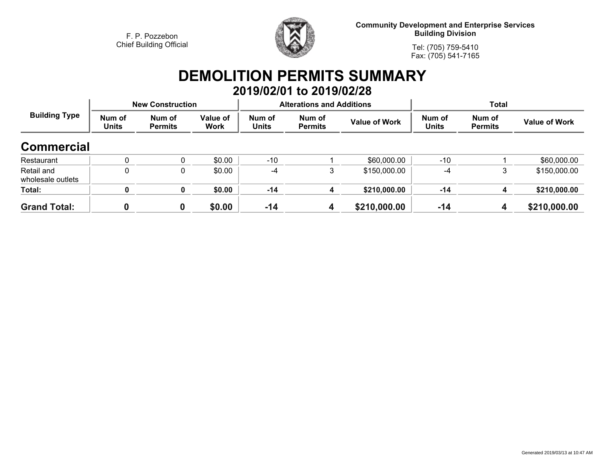

**Community Development and Enterprise Services Building Division**

**Tel: (705) 759-5410Fax: (705) 541-7165**

## **DEMOLITION PERMITS SUMMARY 2019/02/01 to 2019/02/28**

| <b>Building Type</b>            |                        | <b>New Construction</b>  |                         |                        | <b>Alterations and Additions</b> |                      | <b>Total</b>           |                          |                      |
|---------------------------------|------------------------|--------------------------|-------------------------|------------------------|----------------------------------|----------------------|------------------------|--------------------------|----------------------|
|                                 | Num of<br><b>Units</b> | Num of<br><b>Permits</b> | Value of<br><b>Work</b> | Num of<br><b>Units</b> | Num of<br><b>Permits</b>         | <b>Value of Work</b> | Num of<br><b>Units</b> | Num of<br><b>Permits</b> | <b>Value of Work</b> |
| <b>Commercial</b>               |                        |                          |                         |                        |                                  |                      |                        |                          |                      |
| Restaurant                      |                        |                          | \$0.00                  | $-10$                  |                                  | \$60,000.00          | $-10$                  |                          | \$60,000.00          |
| Retail and<br>wholesale outlets | 0                      | 0                        | \$0.00                  | $-4$                   | 3                                | \$150,000.00         | -4                     | 3                        | \$150,000.00         |
| Total:                          |                        | 0                        | \$0.00                  | $-14$                  |                                  | \$210,000.00         | $-14$                  |                          | \$210,000.00         |
| <b>Grand Total:</b>             | ω                      |                          | \$0.00                  | $-14$                  | 4                                | \$210,000.00         | $-14$                  | 4                        | \$210,000.00         |